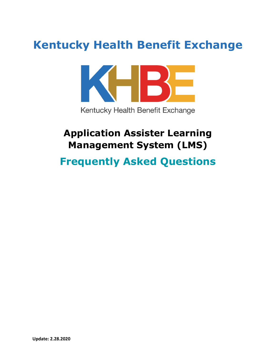# **Kentucky Health Benefit Exchange**



## **Application Assister Learning Management System (LMS)**

## **Frequently Asked Questions**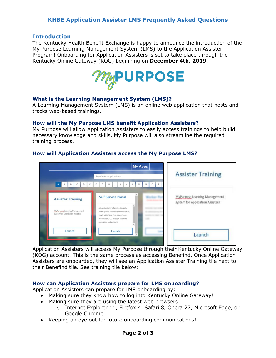## **KHBE Application Assister LMS Frequently Asked Questions**

## **Introduction**

The Kentucky Health Benefit Exchange is happy to announce the introduction of the My Purpose Learning Management System (LMS) to the Application Assister Program! Onboarding for Application Assisters is set to take place through the Kentucky Online Gateway (KOG) beginning on **December 4th, 2019**.



## **What is the Learning Management System (LMS)?**

A Learning Management System (LMS) is an online web application that hosts and tracks web-based trainings.

## **How will the My Purpose LMS benefit Application Assisters?**

My Purpose will allow Application Assisters to easily access trainings to help build necessary knowledge and skills. My Purpose will also streamline the required training process.

#### **My Apps Assister Training** Search for Applications **FASCOEFCHIJKLMNOP** MyPurpose Learning Management **Self Service Portal Assister Training** system for Application Assisters Allows Kentucky's families to easily MyPurpose Learning Management access public assistance benefits(SNAP) m for Application Assisters TANF, MEDICAID, CHILD CARD and information 24/7 through an online application and account. Launch Launch Launch

## **How will Application Assisters access the My Purpose LMS?**

Application Assisters will access My Purpose through their Kentucky Online Gateway (KOG) account. This is the same process as accessing Benefind. Once Application Assisters are onboarded, they will see an Application Assister Training tile next to their Benefind tile. See training tile below:

## **How can Application Assisters prepare for LMS onboarding?**

Application Assisters can prepare for LMS onboarding by:

- Making sure they know how to log into Kentucky Online Gateway!
- Making sure they are using the latest web browsers:
	- o Internet Explorer 11, Firefox 4, Safari 8, Opera 27, Microsoft Edge, or Google Chrome
- Keeping an eye out for future onboarding communications!